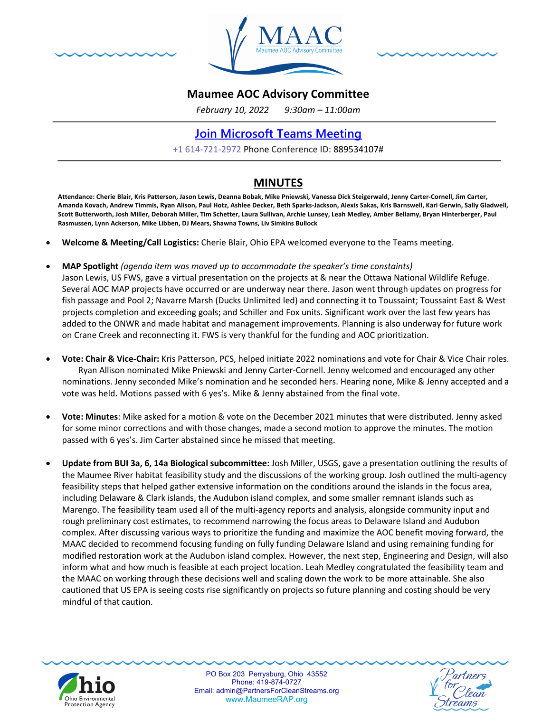





## **Maumee AOC Advisory Committee**

*February 10, 2022 9:30am – 11:00am*

## **Join Microsoft Teams Meeting**

+1 614-721-2972 Phone Conference ID: 889534107#

## **MINUTES**

**Attendance: Cherie Blair, Kris Patterson, Jason Lewis, Deanna Bobak, Mike Pniewski, Vanessa Dick Steigerwald, Jenny Carter-Cornell, Jim Carter, Amanda Kovach, Andrew Timmis, Ryan Alison, Paul Hotz, Ashlee Decker, Beth Sparks-Jackson, Alexis Sakas, Kris Barnswell, Kari Gerwin, Sally Gladwell, Scott Butterworth, Josh Miller, Deborah Miller, Tim Schetter, Laura Sullivan, Archie Lunsey, Leah Medley, Amber Bellamy, Bryan Hinterberger, Paul Rasmussen, Lynn Ackerson, Mike Libben, DJ Mears, Shawna Towns, Liv Simkins Bullock**

- **Welcome & Meeting/Call Logistics:** Cherie Blair, Ohio EPA welcomed everyone to the Teams meeting.
- **MAP Spotlight** *(agenda item was moved up to accommodate the speaker's time constaints)* Jason Lewis, US FWS, gave a virtual presentation on the projects at & near the Ottawa National Wildlife Refuge. Several AOC MAP projects have occurred or are underway near there. Jason went through updates on progress for fish passage and Pool 2; Navarre Marsh (Ducks Unlimited led) and connecting it to Toussaint; Toussaint East & West projects completion and exceeding goals; and Schiller and Fox units. Significant work over the last few years has added to the ONWR and made habitat and management improvements. Planning is also underway for future work on Crane Creek and reconnecting it. FWS is very thankful for the funding and AOC prioritization.
- **Vote: Chair & Vice-Chair:** Kris Patterson, PCS, helped initiate 2022 nominations and vote for Chair & Vice Chair roles. Ryan Allison nominated Mike Pniewski and Jenny Carter-Cornell. Jenny welcomed and encouraged any other nominations. Jenny seconded Mike's nomination and he seconded hers. Hearing none, Mike & Jenny accepted and a vote was held**.** Motions passed with 6 yes's. Mike & Jenny abstained from the final vote.
- **Vote: Minutes**: Mike asked for a motion & vote on the December 2021 minutes that were distributed. Jenny asked for some minor corrections and with those changes, made a second motion to approve the minutes. The motion passed with 6 yes's. Jim Carter abstained since he missed that meeting.
- **Update from BUI 3a, 6, 14a Biological subcommittee:** Josh Miller, USGS, gave a presentation outlining the results of the Maumee River habitat feasibility study and the discussions of the working group. Josh outlined the multi-agency feasibility steps that helped gather extensive information on the conditions around the islands in the focus area, including Delaware & Clark islands, the Audubon island complex, and some smaller remnant islands such as Marengo. The feasibility team used all of the multi-agency reports and analysis, alongside community input and rough preliminary cost estimates, to recommend narrowing the focus areas to Delaware Island and Audubon complex. After discussing various ways to prioritize the funding and maximize the AOC benefit moving forward, the MAAC decided to recommend focusing funding on fully funding Delaware Island and using remaining funding for modified restoration work at the Audubon island complex. However, the next step, Engineering and Design, will also inform what and how much is feasible at each project location. Leah Medley congratulated the feasibility team and the MAAC on working through these decisions well and scaling down the work to be more attainable. She also cautioned that US EPA is seeing costs rise significantly on projects so future planning and costing should be very mindful of that caution.



PO Box 203 Perrysburg, Ohio 43552 Phone: 419-874-0727 Email: admin@PartnersForCleanStreams.org www.MaumeeRAP.org